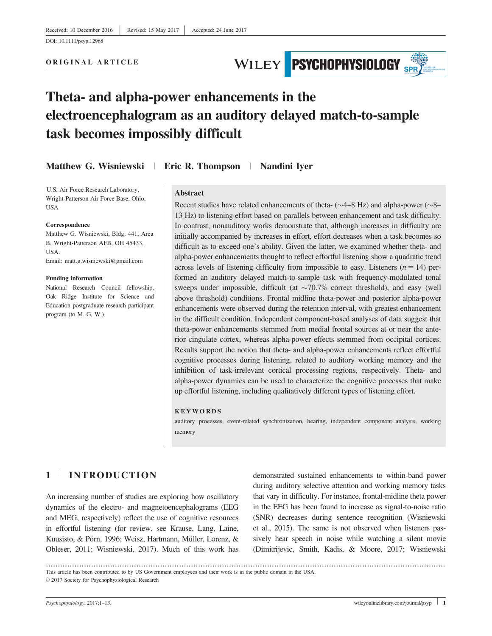DOI: 10.1111/psyp.12968

# WILEY PSYCHOPHYSIOLOGY SPR

# Theta- and alpha-power enhancements in the electroencephalogram as an auditory delayed match-to-sample task becomes impossibly difficult

U.S. Air Force Research Laboratory, Wright-Patterson Air Force Base, Ohio, USA

#### Correspondence

Matthew G. Wisniewski, Bldg. 441, Area B, Wright-Patterson AFB, OH 45433, USA. Email: matt.g.wisniewski@gmail.com

#### Funding information

National Research Council fellowship, Oak Ridge Institute for Science and Education postgraduate research participant program (to M. G. W.)

Matthew G. Wisniewski | Eric R. Thompson | Nandini Iyer

#### Abstract

Recent studies have related enhancements of theta- ( $\sim$ 4–8 Hz) and alpha-power ( $\sim$ 8– 13 Hz) to listening effort based on parallels between enhancement and task difficulty. In contrast, nonauditory works demonstrate that, although increases in difficulty are initially accompanied by increases in effort, effort decreases when a task becomes so difficult as to exceed one's ability. Given the latter, we examined whether theta- and alpha-power enhancements thought to reflect effortful listening show a quadratic trend across levels of listening difficulty from impossible to easy. Listeners  $(n = 14)$  performed an auditory delayed match-to-sample task with frequency-modulated tonal sweeps under impossible, difficult (at  $\sim$ 70.7% correct threshold), and easy (well above threshold) conditions. Frontal midline theta-power and posterior alpha-power enhancements were observed during the retention interval, with greatest enhancement in the difficult condition. Independent component-based analyses of data suggest that theta-power enhancements stemmed from medial frontal sources at or near the anterior cingulate cortex, whereas alpha-power effects stemmed from occipital cortices. Results support the notion that theta- and alpha-power enhancements reflect effortful cognitive processes during listening, related to auditory working memory and the inhibition of task-irrelevant cortical processing regions, respectively. Theta- and alpha-power dynamics can be used to characterize the cognitive processes that make up effortful listening, including qualitatively different types of listening effort.

#### KEYWORDS

auditory processes, event-related synchronization, hearing, independent component analysis, working memory

#### 1 <sup>|</sup> INTRODUCTION

An increasing number of studies are exploring how oscillatory dynamics of the electro- and magnetoencephalograms (EEG and MEG, respectively) reflect the use of cognitive resources in effortful listening (for review, see Krause, Lang, Laine, Kuusisto, & Pörn, 1996; Weisz, Hartmann, Müller, Lorenz, & Obleser, 2011; Wisniewski, 2017). Much of this work has

demonstrated sustained enhancements to within-band power during auditory selective attention and working memory tasks that vary in difficulty. For instance, frontal-midline theta power in the EEG has been found to increase as signal-to-noise ratio (SNR) decreases during sentence recognition (Wisniewski et al., 2015). The same is not observed when listeners passively hear speech in noise while watching a silent movie (Dimitrijevic, Smith, Kadis, & Moore, 2017; Wisniewski

........................................................................................................................................................................

This article has been contributed to by US Government employees and their work is in the public domain in the USA.

 $©$  2017 Society for Psychophysiological Research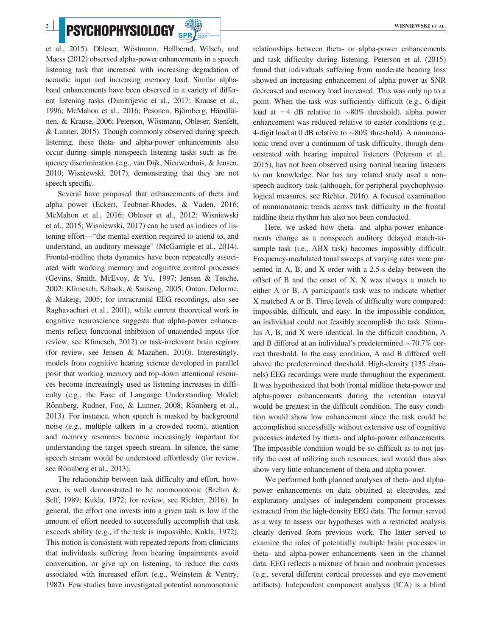# **PSYCHOPHYSIOLOGY** SPRACE AL.

et al., 2015). Obleser, Wöstmann, Hellbernd, Wilsch, and Maess (2012) observed alpha-power enhancements in a speech listening task that increased with increasing degradation of acoustic input and increasing memory load. Similar alphaband enhancements have been observed in a variety of different listening tasks (Dimitrijevic et al., 2017; Krause et al., 1996; McMahon et al., 2016; Pesonen, Björnberg, Hämäläinen, & Krause, 2006; Peterson, Wöstmann, Obleser, Stenfelt, & Lunner, 2015). Though commonly observed during speech listening, these theta- and alpha-power enhancements also occur during simple nonspeech listening tasks such as frequency discrimination (e.g., van Dijk, Nieuwenhuis, & Jensen, 2010; Wisniewski, 2017), demonstrating that they are not speech specific.

Several have proposed that enhancements of theta and alpha power (Eckert, Teubner-Rhodes, & Vaden, 2016; McMahon et al., 2016; Obleser et al., 2012; Wisniewski et al., 2015; Wisniewski, 2017) can be used as indices of listening effort—"the mental exertion required to attend to, and understand, an auditory message" (McGarrigle et al., 2014). Frontal-midline theta dynamics have been repeatedly associated with working memory and cognitive control processes (Gevins, Smith, McEvoy, & Yu, 1997; Jensen & Tesche, 2002; Klimesch, Schack, & Sauseng, 2005; Onton, Delorme, & Makeig, 2005; for intracranial EEG recordings, also see Raghavachari et al., 2001), while current theoretical work in cognitive neuroscience suggests that alpha-power enhancements reflect functional inhibition of unattended inputs (for review, see Klimesch, 2012) or task-irrelevant brain regions (for review, see Jensen & Mazaheri, 2010). Interestingly, models from cognitive hearing science developed in parallel posit that working memory and top-down attentional resources become increasingly used as listening increases in difficulty (e.g., the Ease of Language Understanding Model; Rönnberg, Rudner, Foo, & Lunner, 2008; Rönnberg et al., 2013). For instance, when speech is masked by background noise (e.g., multiple talkers in a crowded room), attention and memory resources become increasingly important for understanding the target speech stream. In silence, the same speech stream would be understood effortlessly (for review, see Rönnberg et al., 2013).

The relationship between task difficulty and effort, however, is well demonstrated to be nonmonotonic (Brehm & Self, 1989; Kukla, 1972; for review, see Richter, 2016). In general, the effort one invests into a given task is low if the amount of effort needed to successfully accomplish that task exceeds ability (e.g., if the task is impossible; Kukla, 1972). This notion is consistent with repeated reports from clinicians that individuals suffering from hearing impairments avoid conversation, or give up on listening, to reduce the costs associated with increased effort (e.g., Weinstein & Ventry, 1982). Few studies have investigated potential nonmonotonic

relationships between theta- or alpha-power enhancements and task difficulty during listening. Peterson et al. (2015) found that individuals suffering from moderate hearing loss showed an increasing enhancement of alpha power as SNR decreased and memory load increased. This was only up to a point. When the task was sufficiently difficult (e.g., 6-digit load at  $-4$  dB relative to  $\sim 80\%$  threshold), alpha power enhancement was reduced relative to easier conditions (e.g., 4-digit load at 0 dB relative to  $\sim 80\%$  threshold). A nonmonotonic trend over a continuum of task difficulty, though demonstrated with hearing impaired listeners (Peterson et al., 2015), has not been observed using normal hearing listeners to our knowledge. Nor has any related study used a nonspeech auditory task (although, for peripheral psychophysiological measures, see Richter, 2016). A focused examination of nonmonotonic trends across task difficulty in the frontal midline theta rhythm has also not been conducted.

Here, we asked how theta- and alpha-power enhancements change as a nonspeech auditory delayed match-tosample task (i.e., ABX task) becomes impossibly difficult. Frequency-modulated tonal sweeps of varying rates were presented in A, B, and X order with a 2.5-s delay between the offset of B and the onset of X. X was always a match to either A or B. A participant's task was to indicate whether X matched A or B. Three levels of difficulty were compared: impossible, difficult, and easy. In the impossible condition, an individual could not feasibly accomplish the task. Stimulus A, B, and X were identical. In the difficult condition, A and B differed at an individual's predetermined  $\sim$ 70.7% correct threshold. In the easy condition, A and B differed well above the predetermined threshold. High-density (135 channels) EEG recordings were made throughout the experiment. It was hypothesized that both frontal midline theta-power and alpha-power enhancements during the retention interval would be greatest in the difficult condition. The easy condition would show low enhancement since the task could be accomplished successfully without extensive use of cognitive processes indexed by theta- and alpha-power enhancements. The impossible condition would be so difficult as to not justify the cost of utilizing such resources, and would thus also show very little enhancement of theta and alpha power.

We performed both planned analyses of theta- and alphapower enhancements on data obtained at electrodes, and exploratory analyses of independent component processes extracted from the high-density EEG data. The former served as a way to assess our hypotheses with a restricted analysis clearly derived from previous work. The latter served to examine the roles of potentially multiple brain processes in theta- and alpha-power enhancements seen in the channel data. EEG reflects a mixture of brain and nonbrain processes (e.g., several different cortical processes and eye movement artifacts). Independent component analysis (ICA) is a blind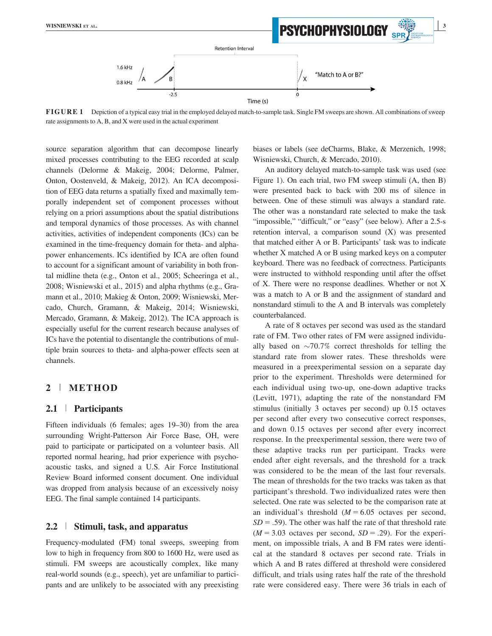

FIGURE 1 Depiction of a typical easy trial in the employed delayed match-to-sample task. Single FM sweeps are shown. All combinations of sweep rate assignments to A, B, and X were used in the actual experiment

source separation algorithm that can decompose linearly mixed processes contributing to the EEG recorded at scalp channels (Delorme & Makeig, 2004; Delorme, Palmer, Onton, Oostenveld, & Makeig, 2012). An ICA decomposition of EEG data returns a spatially fixed and maximally temporally independent set of component processes without relying on a priori assumptions about the spatial distributions and temporal dynamics of those processes. As with channel activities, activities of independent components (ICs) can be examined in the time-frequency domain for theta- and alphapower enhancements. ICs identified by ICA are often found to account for a significant amount of variability in both frontal midline theta (e.g., Onton et al., 2005; Scheeringa et al., 2008; Wisniewski et al., 2015) and alpha rhythms (e.g., Gramann et al., 2010; Makieg & Onton, 2009; Wisniewski, Mercado, Church, Gramann, & Makeig, 2014; Wisniewski, Mercado, Gramann, & Makeig, 2012). The ICA approach is especially useful for the current research because analyses of ICs have the potential to disentangle the contributions of multiple brain sources to theta- and alpha-power effects seen at channels.

### 2 <sup>|</sup> METHOD

#### 2.1 <sup>|</sup> Participants

Fifteen individuals (6 females; ages 19–30) from the area surrounding Wright-Patterson Air Force Base, OH, were paid to participate or participated on a volunteer basis. All reported normal hearing, had prior experience with psychoacoustic tasks, and signed a U.S. Air Force Institutional Review Board informed consent document. One individual was dropped from analysis because of an excessively noisy EEG. The final sample contained 14 participants.

### 2.2 <sup>|</sup> Stimuli, task, and apparatus

Frequency-modulated (FM) tonal sweeps, sweeping from low to high in frequency from 800 to 1600 Hz, were used as stimuli. FM sweeps are acoustically complex, like many real-world sounds (e.g., speech), yet are unfamiliar to participants and are unlikely to be associated with any preexisting biases or labels (see deCharms, Blake, & Merzenich, 1998; Wisniewski, Church, & Mercado, 2010).

An auditory delayed match-to-sample task was used (see Figure 1). On each trial, two FM sweep stimuli (A, then B) were presented back to back with 200 ms of silence in between. One of these stimuli was always a standard rate. The other was a nonstandard rate selected to make the task "impossible," "difficult," or "easy" (see below). After a 2.5-s retention interval, a comparison sound (X) was presented that matched either A or B. Participants' task was to indicate whether X matched A or B using marked keys on a computer keyboard. There was no feedback of correctness. Participants were instructed to withhold responding until after the offset of X. There were no response deadlines. Whether or not X was a match to A or B and the assignment of standard and nonstandard stimuli to the A and B intervals was completely counterbalanced.

A rate of 8 octaves per second was used as the standard rate of FM. Two other rates of FM were assigned individually based on  $\sim$ 70.7% correct thresholds for telling the standard rate from slower rates. These thresholds were measured in a preexperimental session on a separate day prior to the experiment. Thresholds were determined for each individual using two-up, one-down adaptive tracks (Levitt, 1971), adapting the rate of the nonstandard FM stimulus (initially 3 octaves per second) up 0.15 octaves per second after every two consecutive correct responses, and down 0.15 octaves per second after every incorrect response. In the preexperimental session, there were two of these adaptive tracks run per participant. Tracks were ended after eight reversals, and the threshold for a track was considered to be the mean of the last four reversals. The mean of thresholds for the two tracks was taken as that participant's threshold. Two individualized rates were then selected. One rate was selected to be the comparison rate at an individual's threshold  $(M = 6.05$  octaves per second,  $SD = .59$ ). The other was half the rate of that threshold rate  $(M = 3.03$  octaves per second,  $SD = .29$ ). For the experiment, on impossible trials, A and B FM rates were identical at the standard 8 octaves per second rate. Trials in which A and B rates differed at threshold were considered difficult, and trials using rates half the rate of the threshold rate were considered easy. There were 36 trials in each of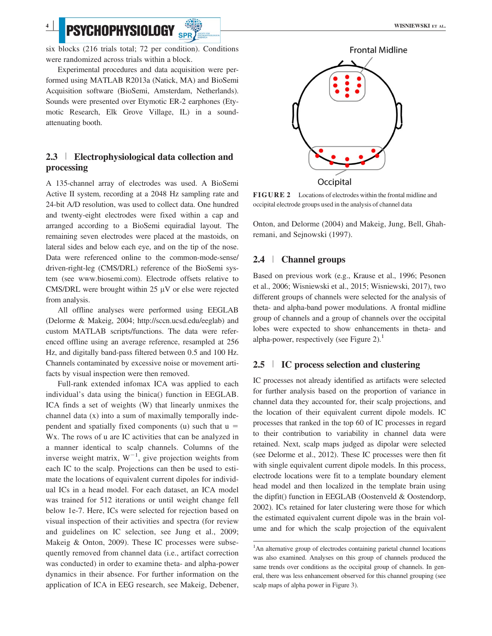**PSYCHOPHYSIOLOGY** SPRY **EXECUTE AL.** WISNIEWSKI ET AL.

six blocks (216 trials total; 72 per condition). Conditions were randomized across trials within a block.

Experimental procedures and data acquisition were performed using MATLAB R2013a (Natick, MA) and BioSemi Acquisition software (BioSemi, Amsterdam, Netherlands). Sounds were presented over Etymotic ER-2 earphones (Etymotic Research, Elk Grove Village, IL) in a soundattenuating booth.

#### 2.3 <sup>|</sup> Electrophysiological data collection and processing

A 135-channel array of electrodes was used. A BioSemi Active II system, recording at a 2048 Hz sampling rate and 24-bit A/D resolution, was used to collect data. One hundred and twenty-eight electrodes were fixed within a cap and arranged according to a BioSemi equiradial layout. The remaining seven electrodes were placed at the mastoids, on lateral sides and below each eye, and on the tip of the nose. Data were referenced online to the common-mode-sense/ driven-right-leg (CMS/DRL) reference of the BioSemi system (see www.biosemi.com). Electrode offsets relative to CMS/DRL were brought within  $25 \mu V$  or else were rejected from analysis.

All offline analyses were performed using EEGLAB (Delorme & Makeig, 2004; http://sccn.ucsd.edu/eeglab) and custom MATLAB scripts/functions. The data were referenced offline using an average reference, resampled at 256 Hz, and digitally band-pass filtered between 0.5 and 100 Hz. Channels contaminated by excessive noise or movement artifacts by visual inspection were then removed.

Full-rank extended infomax ICA was applied to each individual's data using the binica() function in EEGLAB. ICA finds a set of weights (W) that linearly unmixes the channel data (x) into a sum of maximally temporally independent and spatially fixed components (u) such that  $u =$ Wx. The rows of u are IC activities that can be analyzed in a manner identical to scalp channels. Columns of the inverse weight matrix,  $W^{-1}$ , give projection weights from each IC to the scalp. Projections can then be used to estimate the locations of equivalent current dipoles for individual ICs in a head model. For each dataset, an ICA model was trained for 512 iterations or until weight change fell below 1e-7. Here, ICs were selected for rejection based on visual inspection of their activities and spectra (for review and guidelines on IC selection, see Jung et al., 2009; Makeig & Onton, 2009). These IC processes were subsequently removed from channel data (i.e., artifact correction was conducted) in order to examine theta- and alpha-power dynamics in their absence. For further information on the application of ICA in EEG research, see Makeig, Debener,



FIGURE 2 Locations of electrodes within the frontal midline and occipital electrode groups used in the analysis of channel data

Onton, and Delorme (2004) and Makeig, Jung, Bell, Ghahremani, and Sejnowski (1997).

#### 2.4 <sup>|</sup> Channel groups

Based on previous work (e.g., Krause et al., 1996; Pesonen et al., 2006; Wisniewski et al., 2015; Wisniewski, 2017), two different groups of channels were selected for the analysis of theta- and alpha-band power modulations. A frontal midline group of channels and a group of channels over the occipital lobes were expected to show enhancements in theta- and alpha-power, respectively (see Figure 2).<sup>1</sup>

#### 2.5 <sup>|</sup> IC process selection and clustering

IC processes not already identified as artifacts were selected for further analysis based on the proportion of variance in channel data they accounted for, their scalp projections, and the location of their equivalent current dipole models. IC processes that ranked in the top 60 of IC processes in regard to their contribution to variability in channel data were retained. Next, scalp maps judged as dipolar were selected (see Delorme et al., 2012). These IC processes were then fit with single equivalent current dipole models. In this process, electrode locations were fit to a template boundary element head model and then localized in the template brain using the dipfit() function in EEGLAB (Oostenveld & Oostendorp, 2002). ICs retained for later clustering were those for which the estimated equivalent current dipole was in the brain volume and for which the scalp projection of the equivalent

<sup>&</sup>lt;sup>1</sup>An alternative group of electrodes containing parietal channel locations was also examined. Analyses on this group of channels produced the same trends over conditions as the occipital group of channels. In general, there was less enhancement observed for this channel grouping (see scalp maps of alpha power in Figure 3).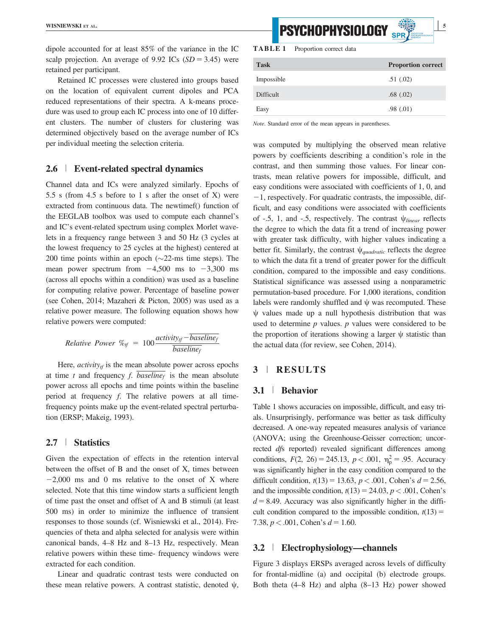dipole accounted for at least 85% of the variance in the IC scalp projection. An average of 9.92 ICs  $(SD = 3.45)$  were retained per participant.

Retained IC processes were clustered into groups based on the location of equivalent current dipoles and PCA reduced representations of their spectra. A k-means procedure was used to group each IC process into one of 10 different clusters. The number of clusters for clustering was determined objectively based on the average number of ICs per individual meeting the selection criteria.

#### 2.6 <sup>|</sup> Event-related spectral dynamics

Channel data and ICs were analyzed similarly. Epochs of 5.5 s (from 4.5 s before to 1 s after the onset of X) were extracted from continuous data. The newtimef() function of the EEGLAB toolbox was used to compute each channel's and IC's event-related spectrum using complex Morlet wavelets in a frequency range between 3 and 50 Hz (3 cycles at the lowest frequency to 25 cycles at the highest) centered at 200 time points within an epoch  $(\sim 22$ -ms time steps). The mean power spectrum from  $-4,500$  ms to  $-3,300$  ms (across all epochs within a condition) was used as a baseline for computing relative power. Percentage of baseline power (see Cohen, 2014; Mazaheri & Picton, 2005) was used as a relative power measure. The following equation shows how relative powers were computed:

Relative Power 
$$
\%_f = 100 \frac{activity_f - \overline{baseline_f}}{\overline{baseline_f}}
$$

Here,  $activity_{tf}$  is the mean absolute power across epochs at time t and frequency f.  $\overline{baseline_f}$  is the mean absolute power across all epochs and time points within the baseline period at frequency f. The relative powers at all timefrequency points make up the event-related spectral perturbation (ERSP; Makeig, 1993).

#### 2.7 <sup>|</sup> Statistics

Given the expectation of effects in the retention interval between the offset of B and the onset of X, times between  $-2,000$  ms and 0 ms relative to the onset of X where selected. Note that this time window starts a sufficient length of time past the onset and offset of A and B stimuli (at least 500 ms) in order to minimize the influence of transient responses to those sounds (cf. Wisniewski et al., 2014). Frequencies of theta and alpha selected for analysis were within canonical bands, 4–8 Hz and 8–13 Hz, respectively. Mean relative powers within these time- frequency windows were extracted for each condition.

Linear and quadratic contrast tests were conducted on these mean relative powers. A contrast statistic, denoted  $\psi$ ,

WISNIEWSKI ET AL. | <sup>5</sup>



TABLE 1 Proportion correct data

| <b>Task</b> | <b>Proportion correct</b> |
|-------------|---------------------------|
| Impossible  | .51(.02)                  |
| Difficult   | $.68$ $(.02)$             |
| Easy        | .98(0.01)                 |

Note. Standard error of the mean appears in parentheses.

was computed by multiplying the observed mean relative powers by coefficients describing a condition's role in the contrast, and then summing those values. For linear contrasts, mean relative powers for impossible, difficult, and easy conditions were associated with coefficients of 1, 0, and  $-1$ , respectively. For quadratic contrasts, the impossible, difficult, and easy conditions were associated with coefficients of -.5, 1, and -.5, respectively. The contrast  $\psi_{linear}$  reflects the degree to which the data fit a trend of increasing power with greater task difficulty, with higher values indicating a better fit. Similarly, the contrast  $\psi_{quadratic}$  reflects the degree to which the data fit a trend of greater power for the difficult condition, compared to the impossible and easy conditions. Statistical significance was assessed using a nonparametric permutation-based procedure. For 1,000 iterations, condition labels were randomly shuffled and  $\psi$  was recomputed. These  $\psi$  values made up a null hypothesis distribution that was used to determine  $p$  values.  $p$  values were considered to be the proportion of iterations showing a larger  $\psi$  statistic than the actual data (for review, see Cohen, 2014).

#### 3 <sup>|</sup> RESULTS

#### 3.1 <sup>|</sup> Behavior

Table 1 shows accuracies on impossible, difficult, and easy trials. Unsurprisingly, performance was better as task difficulty decreased. A one-way repeated measures analysis of variance (ANOVA; using the Greenhouse-Geisser correction; uncorrected dfs reported) revealed significant differences among conditions,  $F(2, 26) = 245.13$ ,  $p < .001$ ,  $\eta_p^2 = .95$ . Accuracy was significantly higher in the easy condition compared to the difficult condition,  $t(13) = 13.63$ ,  $p < .001$ , Cohen's  $d = 2.56$ , and the impossible condition,  $t(13) = 24.03$ ,  $p < .001$ , Cohen's  $d = 8.49$ . Accuracy was also significantly higher in the difficult condition compared to the impossible condition,  $t(13)$  = 7.38,  $p < .001$ , Cohen's  $d = 1.60$ .

#### 3.2 <sup>|</sup> Electrophysiology—channels

Figure 3 displays ERSPs averaged across levels of difficulty for frontal-midline (a) and occipital (b) electrode groups. Both theta (4–8 Hz) and alpha (8–13 Hz) power showed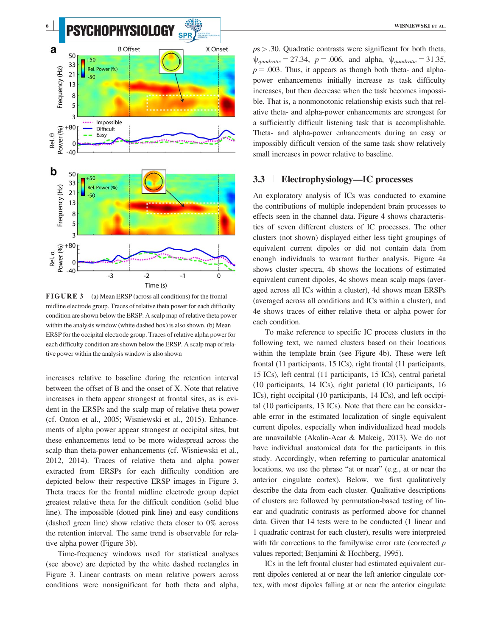

FIGURE 3 (a) Mean ERSP (across all conditions) for the frontal midline electrode group. Traces of relative theta power for each difficulty condition are shown below the ERSP. A scalp map of relative theta power within the analysis window (white dashed box) is also shown. (b) Mean ERSP for the occipital electrode group. Traces of relative alpha power for each difficulty condition are shown below the ERSP. A scalp map of relative power within the analysis window is also shown

increases relative to baseline during the retention interval between the offset of B and the onset of X. Note that relative increases in theta appear strongest at frontal sites, as is evident in the ERSPs and the scalp map of relative theta power (cf. Onton et al., 2005; Wisniewski et al., 2015). Enhancements of alpha power appear strongest at occipital sites, but these enhancements tend to be more widespread across the scalp than theta-power enhancements (cf. Wisniewski et al., 2012, 2014). Traces of relative theta and alpha power extracted from ERSPs for each difficulty condition are depicted below their respective ERSP images in Figure 3. Theta traces for the frontal midline electrode group depict greatest relative theta for the difficult condition (solid blue line). The impossible (dotted pink line) and easy conditions (dashed green line) show relative theta closer to 0% across the retention interval. The same trend is observable for relative alpha power (Figure 3b).

Time-frequency windows used for statistical analyses (see above) are depicted by the white dashed rectangles in Figure 3. Linear contrasts on mean relative powers across conditions were nonsignificant for both theta and alpha,  $ps > .30$ . Quadratic contrasts were significant for both theta,  $\psi_{quadratic} = 27.34$ ,  $p = .006$ , and alpha,  $\psi_{quadratic} = 31.35$ ,  $p = .003$ . Thus, it appears as though both theta- and alphapower enhancements initially increase as task difficulty increases, but then decrease when the task becomes impossible. That is, a nonmonotonic relationship exists such that relative theta- and alpha-power enhancements are strongest for a sufficiently difficult listening task that is accomplishable. Theta- and alpha-power enhancements during an easy or impossibly difficult version of the same task show relatively small increases in power relative to baseline.

#### 3.3 <sup>|</sup> Electrophysiology—IC processes

An exploratory analysis of ICs was conducted to examine the contributions of multiple independent brain processes to effects seen in the channel data. Figure 4 shows characteristics of seven different clusters of IC processes. The other clusters (not shown) displayed either less tight groupings of equivalent current dipoles or did not contain data from enough individuals to warrant further analysis. Figure 4a shows cluster spectra, 4b shows the locations of estimated equivalent current dipoles, 4c shows mean scalp maps (averaged across all ICs within a cluster), 4d shows mean ERSPs (averaged across all conditions and ICs within a cluster), and 4e shows traces of either relative theta or alpha power for each condition.

To make reference to specific IC process clusters in the following text, we named clusters based on their locations within the template brain (see Figure 4b). These were left frontal (11 participants, 15 ICs), right frontal (11 participants, 15 ICs), left central (11 participants, 15 ICs), central parietal (10 participants, 14 ICs), right parietal (10 participants, 16 ICs), right occipital (10 participants, 14 ICs), and left occipital (10 participants, 13 ICs). Note that there can be considerable error in the estimated localization of single equivalent current dipoles, especially when individualized head models are unavailable (Akalin-Acar & Makeig, 2013). We do not have individual anatomical data for the participants in this study. Accordingly, when referring to particular anatomical locations, we use the phrase "at or near" (e.g., at or near the anterior cingulate cortex). Below, we first qualitatively describe the data from each cluster. Qualitative descriptions of clusters are followed by permutation-based testing of linear and quadratic contrasts as performed above for channel data. Given that 14 tests were to be conducted (1 linear and 1 quadratic contrast for each cluster), results were interpreted with fdr corrections to the familywise error rate (corrected  $p$ ) values reported; Benjamini & Hochberg, 1995).

ICs in the left frontal cluster had estimated equivalent current dipoles centered at or near the left anterior cingulate cortex, with most dipoles falling at or near the anterior cingulate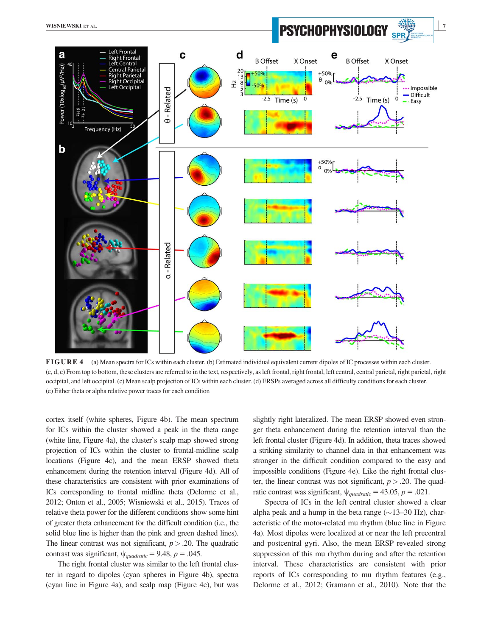WISNIEWSKI ET AL. | <sup>7</sup>



FIGURE 4 (a) Mean spectra for ICs within each cluster. (b) Estimated individual equivalent current dipoles of IC processes within each cluster. (c, d, e) From top to bottom, these clusters are referred to in the text, respectively, as left frontal, right frontal, left central, central parietal, right parietal, right occipital, and left occipital. (c) Mean scalp projection of ICs within each cluster. (d) ERSPs averaged across all difficulty conditions for each cluster. (e) Either theta or alpha relative power traces for each condition

cortex itself (white spheres, Figure 4b). The mean spectrum for ICs within the cluster showed a peak in the theta range (white line, Figure 4a), the cluster's scalp map showed strong projection of ICs within the cluster to frontal-midline scalp locations (Figure 4c), and the mean ERSP showed theta enhancement during the retention interval (Figure 4d). All of these characteristics are consistent with prior examinations of ICs corresponding to frontal midline theta (Delorme et al., 2012; Onton et al., 2005; Wisniewski et al., 2015). Traces of relative theta power for the different conditions show some hint of greater theta enhancement for the difficult condition (i.e., the solid blue line is higher than the pink and green dashed lines). The linear contrast was not significant,  $p > .20$ . The quadratic contrast was significant,  $\psi_{quadratic} = 9.48, p = .045$ .

The right frontal cluster was similar to the left frontal cluster in regard to dipoles (cyan spheres in Figure 4b), spectra (cyan line in Figure 4a), and scalp map (Figure 4c), but was slightly right lateralized. The mean ERSP showed even stronger theta enhancement during the retention interval than the left frontal cluster (Figure 4d). In addition, theta traces showed a striking similarity to channel data in that enhancement was stronger in the difficult condition compared to the easy and impossible conditions (Figure 4e). Like the right frontal cluster, the linear contrast was not significant,  $p > .20$ . The quadratic contrast was significant,  $\psi_{quadratic} = 43.05, p = .021$ .

Spectra of ICs in the left central cluster showed a clear alpha peak and a hump in the beta range  $(\sim 13-30 \text{ Hz})$ , characteristic of the motor-related mu rhythm (blue line in Figure 4a). Most dipoles were localized at or near the left precentral and postcentral gyri. Also, the mean ERSP revealed strong suppression of this mu rhythm during and after the retention interval. These characteristics are consistent with prior reports of ICs corresponding to mu rhythm features (e.g., Delorme et al., 2012; Gramann et al., 2010). Note that the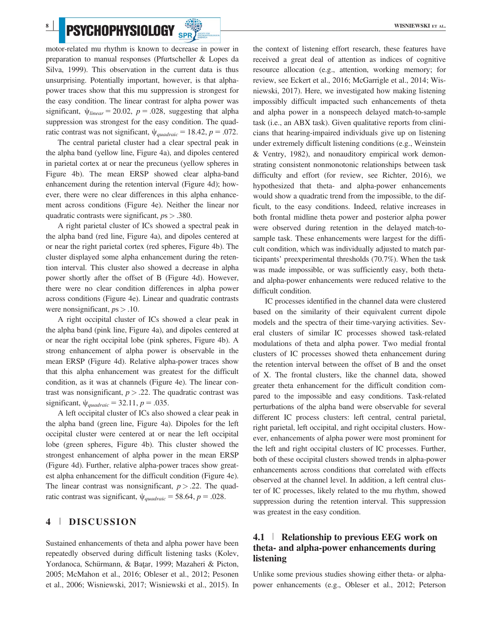# **PSYCHOPHYSIOLOGY** SPR)

motor-related mu rhythm is known to decrease in power in preparation to manual responses (Pfurtscheller & Lopes da Silva, 1999). This observation in the current data is thus unsurprising. Potentially important, however, is that alphapower traces show that this mu suppression is strongest for the easy condition. The linear contrast for alpha power was significant,  $\psi_{linear} = 20.02$ ,  $p = .028$ , suggesting that alpha suppression was strongest for the easy condition. The quadratic contrast was not significant,  $\psi_{quadratic} = 18.42$ ,  $p = .072$ .

The central parietal cluster had a clear spectral peak in the alpha band (yellow line, Figure 4a), and dipoles centered in parietal cortex at or near the precuneus (yellow spheres in Figure 4b). The mean ERSP showed clear alpha-band enhancement during the retention interval (Figure 4d); however, there were no clear differences in this alpha enhancement across conditions (Figure 4e). Neither the linear nor quadratic contrasts were significant,  $ps > .380$ .

A right parietal cluster of ICs showed a spectral peak in the alpha band (red line, Figure 4a), and dipoles centered at or near the right parietal cortex (red spheres, Figure 4b). The cluster displayed some alpha enhancement during the retention interval. This cluster also showed a decrease in alpha power shortly after the offset of B (Figure 4d). However, there were no clear condition differences in alpha power across conditions (Figure 4e). Linear and quadratic contrasts were nonsignificant,  $ps > .10$ .

A right occipital cluster of ICs showed a clear peak in the alpha band (pink line, Figure 4a), and dipoles centered at or near the right occipital lobe (pink spheres, Figure 4b). A strong enhancement of alpha power is observable in the mean ERSP (Figure 4d). Relative alpha-power traces show that this alpha enhancement was greatest for the difficult condition, as it was at channels (Figure 4e). The linear contrast was nonsignificant,  $p > 0.22$ . The quadratic contrast was significant,  $\psi_{quadratic} = 32.11$ ,  $p = .035$ .

A left occipital cluster of ICs also showed a clear peak in the alpha band (green line, Figure 4a). Dipoles for the left occipital cluster were centered at or near the left occipital lobe (green spheres, Figure 4b). This cluster showed the strongest enhancement of alpha power in the mean ERSP (Figure 4d). Further, relative alpha-power traces show greatest alpha enhancement for the difficult condition (Figure 4e). The linear contrast was nonsignificant,  $p > 0.22$ . The quadratic contrast was significant,  $\psi_{quadratic} = 58.64$ ,  $p = .028$ .

#### 4 <sup>|</sup> DISCUSSION

Sustained enhancements of theta and alpha power have been repeatedly observed during difficult listening tasks (Kolev, Yordanoca, Schürmann, & Baţar, 1999; Mazaheri & Picton, 2005; McMahon et al., 2016; Obleser et al., 2012; Pesonen et al., 2006; Wisniewski, 2017; Wisniewski et al., 2015). In the context of listening effort research, these features have received a great deal of attention as indices of cognitive resource allocation (e.g., attention, working memory; for review, see Eckert et al., 2016; McGarrigle et al., 2014; Wisniewski, 2017). Here, we investigated how making listening impossibly difficult impacted such enhancements of theta and alpha power in a nonspeech delayed match-to-sample task (i.e., an ABX task). Given qualitative reports from clinicians that hearing-impaired individuals give up on listening under extremely difficult listening conditions (e.g., Weinstein & Ventry, 1982), and nonauditory empirical work demonstrating consistent nonmonotonic relationships between task difficulty and effort (for review, see Richter, 2016), we hypothesized that theta- and alpha-power enhancements would show a quadratic trend from the impossible, to the difficult, to the easy conditions. Indeed, relative increases in both frontal midline theta power and posterior alpha power were observed during retention in the delayed match-tosample task. These enhancements were largest for the difficult condition, which was individually adjusted to match participants' preexperimental thresholds (70.7%). When the task was made impossible, or was sufficiently easy, both thetaand alpha-power enhancements were reduced relative to the difficult condition.

IC processes identified in the channel data were clustered based on the similarity of their equivalent current dipole models and the spectra of their time-varying activities. Several clusters of similar IC processes showed task-related modulations of theta and alpha power. Two medial frontal clusters of IC processes showed theta enhancement during the retention interval between the offset of B and the onset of X. The frontal clusters, like the channel data, showed greater theta enhancement for the difficult condition compared to the impossible and easy conditions. Task-related perturbations of the alpha band were observable for several different IC process clusters: left central, central parietal, right parietal, left occipital, and right occipital clusters. However, enhancements of alpha power were most prominent for the left and right occipital clusters of IC processes. Further, both of these occipital clusters showed trends in alpha-power enhancements across conditions that correlated with effects observed at the channel level. In addition, a left central cluster of IC processes, likely related to the mu rhythm, showed suppression during the retention interval. This suppression was greatest in the easy condition.

#### 4.1 <sup>|</sup> Relationship to previous EEG work on theta- and alpha-power enhancements during listening

Unlike some previous studies showing either theta- or alphapower enhancements (e.g., Obleser et al., 2012; Peterson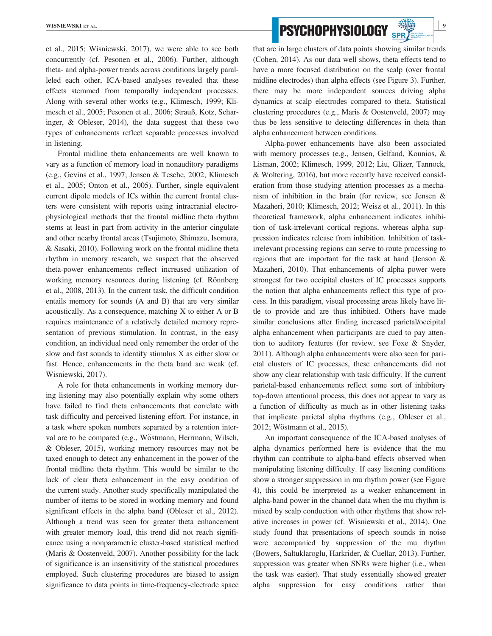et al., 2015; Wisniewski, 2017), we were able to see both concurrently (cf. Pesonen et al., 2006). Further, although theta- and alpha-power trends across conditions largely paralleled each other, ICA-based analyses revealed that these effects stemmed from temporally independent processes. Along with several other works (e.g., Klimesch, 1999; Klimesch et al., 2005; Pesonen et al., 2006; Strauß, Kotz, Scharinger, & Obleser, 2014), the data suggest that these two types of enhancements reflect separable processes involved in listening.

Frontal midline theta enhancements are well known to vary as a function of memory load in nonauditory paradigms (e.g., Gevins et al., 1997; Jensen & Tesche, 2002; Klimesch et al., 2005; Onton et al., 2005). Further, single equivalent current dipole models of ICs within the current frontal clusters were consistent with reports using intracranial electrophysiological methods that the frontal midline theta rhythm stems at least in part from activity in the anterior cingulate and other nearby frontal areas (Tsujimoto, Shimazu, Isomura, & Sasaki, 2010). Following work on the frontal midline theta rhythm in memory research, we suspect that the observed theta-power enhancements reflect increased utilization of working memory resources during listening (cf. Rönnberg et al., 2008, 2013). In the current task, the difficult condition entails memory for sounds (A and B) that are very similar acoustically. As a consequence, matching X to either A or B requires maintenance of a relatively detailed memory representation of previous stimulation. In contrast, in the easy condition, an individual need only remember the order of the slow and fast sounds to identify stimulus X as either slow or fast. Hence, enhancements in the theta band are weak (cf. Wisniewski, 2017).

A role for theta enhancements in working memory during listening may also potentially explain why some others have failed to find theta enhancements that correlate with task difficulty and perceived listening effort. For instance, in a task where spoken numbers separated by a retention interval are to be compared (e.g., Wöstmann, Herrmann, Wilsch, & Obleser, 2015), working memory resources may not be taxed enough to detect any enhancement in the power of the frontal midline theta rhythm. This would be similar to the lack of clear theta enhancement in the easy condition of the current study. Another study specifically manipulated the number of items to be stored in working memory and found significant effects in the alpha band (Obleser et al., 2012). Although a trend was seen for greater theta enhancement with greater memory load, this trend did not reach significance using a nonparametric cluster-based statistical method (Maris & Oostenveld, 2007). Another possibility for the lack of significance is an insensitivity of the statistical procedures employed. Such clustering procedures are biased to assign significance to data points in time-frequency-electrode space

WISNIEWSKI ET AL. **Allen and the contract of the contract of the contract of the contract of the contract of the contract of the contract of the contract of the contract of the contract of the contract of the contract of t** 

that are in large clusters of data points showing similar trends (Cohen, 2014). As our data well shows, theta effects tend to have a more focused distribution on the scalp (over frontal midline electrodes) than alpha effects (see Figure 3). Further, there may be more independent sources driving alpha dynamics at scalp electrodes compared to theta. Statistical clustering procedures (e.g., Maris & Oostenveld, 2007) may thus be less sensitive to detecting differences in theta than alpha enhancement between conditions.

Alpha-power enhancements have also been associated with memory processes (e.g., Jensen, Gelfand, Kounios, & Lisman, 2002; Klimesch, 1999, 2012; Liu, Glizer, Tannock, & Woltering, 2016), but more recently have received consideration from those studying attention processes as a mechanism of inhibition in the brain (for review, see Jensen & Mazaheri, 2010; Klimesch, 2012; Weisz et al., 2011). In this theoretical framework, alpha enhancement indicates inhibition of task-irrelevant cortical regions, whereas alpha suppression indicates release from inhibition. Inhibition of taskirrelevant processing regions can serve to route processing to regions that are important for the task at hand (Jenson & Mazaheri, 2010). That enhancements of alpha power were strongest for two occipital clusters of IC processes supports the notion that alpha enhancements reflect this type of process. In this paradigm, visual processing areas likely have little to provide and are thus inhibited. Others have made similar conclusions after finding increased parietal/occipital alpha enhancement when participants are cued to pay attention to auditory features (for review, see Foxe & Snyder, 2011). Although alpha enhancements were also seen for parietal clusters of IC processes, these enhancements did not show any clear relationship with task difficulty. If the current parietal-based enhancements reflect some sort of inhibitory top-down attentional process, this does not appear to vary as a function of difficulty as much as in other listening tasks that implicate parietal alpha rhythms (e.g., Obleser et al., 2012; Wöstmann et al., 2015).

An important consequence of the ICA-based analyses of alpha dynamics performed here is evidence that the mu rhythm can contribute to alpha-band effects observed when manipulating listening difficulty. If easy listening conditions show a stronger suppression in mu rhythm power (see Figure 4), this could be interpreted as a weaker enhancement in alpha-band power in the channel data when the mu rhythm is mixed by scalp conduction with other rhythms that show relative increases in power (cf. Wisniewski et al., 2014). One study found that presentations of speech sounds in noise were accompanied by suppression of the mu rhythm (Bowers, Saltuklaroglu, Harkrider, & Cuellar, 2013). Further, suppression was greater when SNRs were higher (i.e., when the task was easier). That study essentially showed greater alpha suppression for easy conditions rather than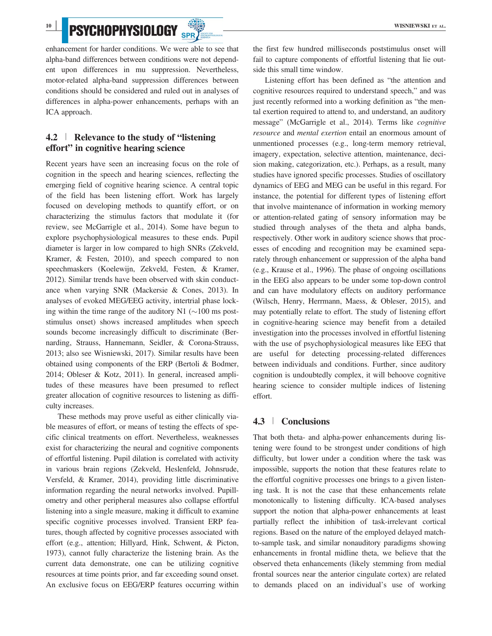## PSYCHOPHYSIOLOGY SPRY ALL AND THE CONTROLLER TO ALL AND MISNIEWSKI ET AL.

enhancement for harder conditions. We were able to see that alpha-band differences between conditions were not dependent upon differences in mu suppression. Nevertheless, motor-related alpha-band suppression differences between conditions should be considered and ruled out in analyses of differences in alpha-power enhancements, perhaps with an ICA approach.

#### 4.2 <sup>|</sup> Relevance to the study of "listening effort" in cognitive hearing science

Recent years have seen an increasing focus on the role of cognition in the speech and hearing sciences, reflecting the emerging field of cognitive hearing science. A central topic of the field has been listening effort. Work has largely focused on developing methods to quantify effort, or on characterizing the stimulus factors that modulate it (for review, see McGarrigle et al., 2014). Some have begun to explore psychophysiological measures to these ends. Pupil diameter is larger in low compared to high SNRs (Zekveld, Kramer, & Festen, 2010), and speech compared to non speechmaskers (Koelewijn, Zekveld, Festen, & Kramer, 2012). Similar trends have been observed with skin conductance when varying SNR (Mackersie & Cones, 2013). In analyses of evoked MEG/EEG activity, intertrial phase locking within the time range of the auditory N1 ( $\sim$ 100 ms poststimulus onset) shows increased amplitudes when speech sounds become increasingly difficult to discriminate (Bernarding, Strauss, Hannemann, Seidler, & Corona-Strauss, 2013; also see Wisniewski, 2017). Similar results have been obtained using components of the ERP (Bertoli & Bodmer, 2014; Obleser & Kotz, 2011). In general, increased amplitudes of these measures have been presumed to reflect greater allocation of cognitive resources to listening as difficulty increases.

These methods may prove useful as either clinically viable measures of effort, or means of testing the effects of specific clinical treatments on effort. Nevertheless, weaknesses exist for characterizing the neural and cognitive components of effortful listening. Pupil dilation is correlated with activity in various brain regions (Zekveld, Heslenfeld, Johnsrude, Versfeld, & Kramer, 2014), providing little discriminative information regarding the neural networks involved. Pupillometry and other peripheral measures also collapse effortful listening into a single measure, making it difficult to examine specific cognitive processes involved. Transient ERP features, though affected by cognitive processes associated with effort (e.g., attention; Hillyard, Hink, Schwent, & Picton, 1973), cannot fully characterize the listening brain. As the current data demonstrate, one can be utilizing cognitive resources at time points prior, and far exceeding sound onset. An exclusive focus on EEG/ERP features occurring within

the first few hundred milliseconds poststimulus onset will fail to capture components of effortful listening that lie outside this small time window.

Listening effort has been defined as "the attention and cognitive resources required to understand speech," and was just recently reformed into a working definition as "the mental exertion required to attend to, and understand, an auditory message" (McGarrigle et al., 2014). Terms like cognitive resource and mental exertion entail an enormous amount of unmentioned processes (e.g., long-term memory retrieval, imagery, expectation, selective attention, maintenance, decision making, categorization, etc.). Perhaps, as a result, many studies have ignored specific processes. Studies of oscillatory dynamics of EEG and MEG can be useful in this regard. For instance, the potential for different types of listening effort that involve maintenance of information in working memory or attention-related gating of sensory information may be studied through analyses of the theta and alpha bands, respectively. Other work in auditory science shows that processes of encoding and recognition may be examined separately through enhancement or suppression of the alpha band (e.g., Krause et al., 1996). The phase of ongoing oscillations in the EEG also appears to be under some top-down control and can have modulatory effects on auditory performance (Wilsch, Henry, Herrmann, Maess, & Obleser, 2015), and may potentially relate to effort. The study of listening effort in cognitive-hearing science may benefit from a detailed investigation into the processes involved in effortful listening with the use of psychophysiological measures like EEG that are useful for detecting processing-related differences between individuals and conditions. Further, since auditory cognition is undoubtedly complex, it will behoove cognitive hearing science to consider multiple indices of listening effort.

#### 4.3 <sup>|</sup> Conclusions

That both theta- and alpha-power enhancements during listening were found to be strongest under conditions of high difficulty, but lower under a condition where the task was impossible, supports the notion that these features relate to the effortful cognitive processes one brings to a given listening task. It is not the case that these enhancements relate monotonically to listening difficulty. ICA-based analyses support the notion that alpha-power enhancements at least partially reflect the inhibition of task-irrelevant cortical regions. Based on the nature of the employed delayed matchto-sample task, and similar nonauditory paradigms showing enhancements in frontal midline theta, we believe that the observed theta enhancements (likely stemming from medial frontal sources near the anterior cingulate cortex) are related to demands placed on an individual's use of working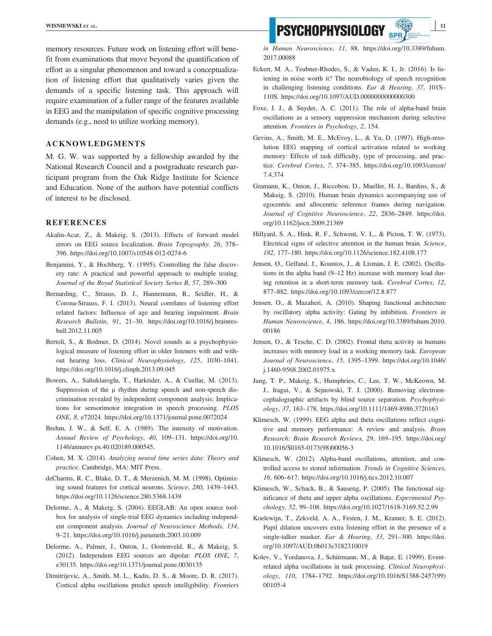memory resources. Future work on listening effort will benefit from examinations that move beyond the quantification of effort as a singular phenomenon and toward a conceptualization of listening effort that qualitatively varies given the demands of a specific listening task. This approach will require examination of a fuller range of the features available in EEG and the manipulation of specific cognitive processing demands (e.g., need to utilize working memory).

#### ACKNOWLEDGMENTS

M. G. W. was supported by a fellowship awarded by the National Research Council and a postgraduate research participant program from the Oak Ridge Institute for Science and Education. None of the authors have potential conflicts of interest to be disclosed.

#### REFERENCES

- Akalin-Acar, Z., & Makeig, S. (2013). Effects of forward model errors on EEG source localization. Brain Topography. 26, 378– 396. https://doi.org/10.1007/s10548-012-0274-6
- Benjamini, Y., & Hochberg, Y. (1995). Controlling the false discovery rate: A practical and powerful approach to multiple testing. Journal of the Royal Statistical Society Series B, 57, 289–300
- Bernarding, C., Strauss, D. J., Hannemann, R., Seidler, H., & Corona-Strauss, F. I. (2013). Neural correlates of listening effort related factors: Influence of age and hearing impairment. Brain Research Bulletin, 91, 21–30. https://doi.org/10.1016/j.brainresbull.2012.11.005
- Bertoli, S., & Bodmer, D. (2014). Novel sounds as a psychophysiological measure of listening effort in older listeners with and without hearing loss. Clinical Neurophysiology, 125, 1030–1041. https://doi.org/10.1016/j.clinph.2013.09.045
- Bowers, A., Saltuklaroglu, T., Harkrider, A., & Cuellar, M. (2013). Suppression of the  $\mu$  rhythm during speech and non-speech discrimination revealed by independent component analysis: Implications for sensorimotor integration in speech processing. PLOS ONE, 8, e72024. https://doi.org/10.1371/journal.pone.0072024
- Brehm, J. W., & Self, E. A. (1989). The intensity of motivation. Annual Review of Psychology, 40, 109–131. https://doi.org/10. 1146/annurev.ps.40.020189.000545.
- Cohen, M. X. (2014). Analyzing neural time series data: Theory and practice. Cambridge, MA: MIT Press.
- deCharms, R. C., Blake, D. T., & Merzenich, M. M. (1998). Optimizing sound features for cortical neurons. Science, 280, 1439–1443. https://doi.org/10.1126/science.280.5368.1439
- Delorme, A., & Makeig, S. (2004). EEGLAB: An open source toolbox for analysis of single-trial EEG dynamics including independent component analysis. Journal of Neuroscience Methods, 134, 9–21. https://doi.org/10.1016/j.jneumeth.2003.10.009
- Delorme, A., Palmer, J., Onton, J., Oostenveld, R., & Makeig, S. (2012). Independent EEG sources are dipolar. PLOS ONE, 7, e30135. https://doi.org/10.1371/journal.pone.0030135
- Dimitrijevic, A., Smith, M. L., Kadis, D. S., & Moore, D. R. (2017). Cortical alpha oscillations predict speech intelligibility. Frontiers

in Human Neuroscience, 11, 88. https://doi.org/10.3389/fnhum. 2017.00088

- Eckert, M. A., Teubner-Rhodes, S., & Vaden, K. I., Jr. (2016). Is listening in noise worth it? The neurobiology of speech recognition in challenging listening conditions. Ear & Hearing, 37, 101S– 110S. https://doi.org/10.1097/AUD.0000000000000300
- Foxe, J. J., & Snyder, A. C. (2011). The role of alpha-band brain oscillations as a sensory suppression mechanism during selective attention. Frontiers in Psychology, 2, 154.
- Gevins, A., Smith, M. E., McEvoy, L., & Yu, D. (1997). High-resolution EEG mapping of cortical activation related to working memory: Effects of task difficulty, type of processing, and practice. Cerebral Cortex, 7, 374–385. https://doi.org/10.1093/cercor/ 7.4.374
- Gramann, K., Onton, J., Riccobon, D., Mueller, H. J., Bardins, S., & Makeig, S. (2010). Human brain dynamics accompanying use of egocentric and allocentric reference frames during navigation. Journal of Cognitive Neuroscience, 22, 2836–2849. https://doi. org/10.1162/jocn.2009.21369
- Hillyard, S. A., Hink, R. F., Schwent, V. L., & Picton, T. W. (1973). Electrical signs of selective attention in the human brain. Science, 182, 177–180. https://doi.org/10.1126/science.182.4108.177
- Jensen, O., Gelfand, J., Kounios, J., & Lisman, J. E. (2002). Oscillations in the alpha band (9–12 Hz) increase with memory load during retention in a short-term memory task. Cerebral Cortex, 12, 877–882. https://doi.org/10.1093/cercor/12.8.877
- Jensen, O., & Mazaheri, A. (2010). Shaping functional architecture by oscillatory alpha activity: Gating by inhibition. Frontiers in Human Neuroscience, 4, 186. https://doi.org/10.3389/fnhum.2010. 00186
- Jensen, O., & Tesche, C. D. (2002). Frontal theta activity in humans increases with memory load in a working memory task. European Journal of Neuroscience, 15, 1395–1399. https://doi.org/10.1046/ j.1460-9568.2002.01975.x
- Jung, T. P., Makeig, S., Humphries, C., Lee, T. W., McKeown, M. J., Iragui, V., & Sejnowski, T. J. (2000). Removing electroencephalographic artifacts by blind source separation. Psychophysiology, 37, 163–178. https://doi.org/10.1111/1469-8986.3720163
- Klimesch, W. (1999). EEG alpha and theta oscillations reflect cognitive and memory performance: A review and analysis. Brain Research: Brain Research Reviews, 29, 169–195. https://doi.org/ 10.1016/S0165-0173(98)00056-3
- Klimesch, W. (2012). Alpha-band oscillations, attention, and controlled access to stored information. Trends in Cognitive Sciences, 16, 606–617. https://doi.org/10.1016/j.tics.2012.10.007
- Klimesch, W., Schack, B., & Sauseng, P. (2005). The functional significance of theta and upper alpha oscillations. Experimental Psychology, 52, 99–108. https://doi.org/10.1027/1618-3169.52.2.99
- Koelewijn, T., Zekveld, A. A., Festen, J. M., Kramer, S. E. (2012). Pupil dilation uncovers extra listening effort in the presence of a single-talker masker. Ear & Hearing, 33, 291-300. https://doi. org/10.1097/AUD.0b013e3182310019
- Kolev, V., Yordanova, J., Schürmann, M., & Baţar, E. (1999). Eventrelated alpha oscillations in task processing. Clinical Neurophysiology, 110, 1784–1792. https://doi.org/10.1016/S1388-2457(99) 00105-4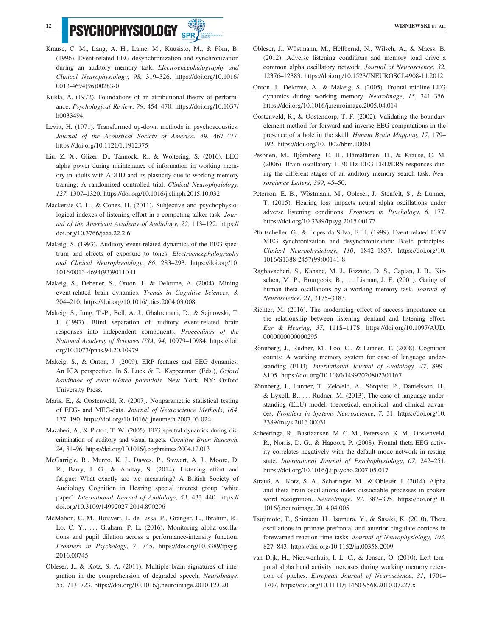## PSYCHOPHYSIOLOGY SPRY ALL AND THE CONTROLLER TO ALL AND MISNIEWSKI ET AL.

- Krause, C. M., Lang, A. H., Laine, M., Kuusisto, M., & Pörn, B. (1996). Event-related EEG desynchronization and synchronization during an auditory memory task. Electroencephalography and Clinical Neurophysiology, 98, 319–326. https://doi.org/10.1016/ 0013-4694(96)00283-0
- Kukla, A. (1972). Foundations of an attributional theory of performance. Psychological Review, 79, 454–470. https://doi.org/10.1037/ h0033494
- Levitt, H. (1971). Transformed up-down methods in psychoacoustics. Journal of the Acoustical Society of America, 49, 467–477. https://doi.org/10.1121/1.1912375
- Liu, Z. X., Glizer, D., Tannock, R., & Woltering, S. (2016). EEG alpha power during maintenance of information in working memory in adults with ADHD and its plasticity due to working memory training: A randomized controlled trial. Clinical Neurophysiology, 127, 1307–1320. https://doi.org/10.1016/j.clinph.2015.10.032
- Mackersie C. L., & Cones, H. (2011). Subjective and psychophysiological indexes of listening effort in a competing-talker task. Journal of the American Academy of Audiology, 22, 113–122. https:// doi.org/10.3766/jaaa.22.2.6
- Makeig, S. (1993). Auditory event-related dynamics of the EEG spectrum and effects of exposure to tones. Electroencephalography and Clinical Neurophysiology, 86, 283–293. https://doi.org/10. 1016/0013-4694(93)90110-H
- Makeig, S., Debener, S., Onton, J., & Delorme, A. (2004). Mining event-related brain dynamics. Trends in Cognitive Sciences, 8, 204–210. https://doi.org/10.1016/j.tics.2004.03.008
- Makeig, S., Jung, T.-P., Bell, A. J., Ghahremani, D., & Sejnowski, T. J. (1997). Blind separation of auditory event-related brain responses into independent components. Proceedings of the National Academy of Sciences USA, 94, 10979–10984. https://doi. org/10.1073/pnas.94.20.10979
- Makeig, S., & Onton, J. (2009). ERP features and EEG dynamics: An ICA perspective. In S. Luck & E. Kappenman (Eds.), Oxford handbook of event-related potentials. New York, NY: Oxford University Press.
- Maris, E., & Oostenveld, R. (2007). Nonparametric statistical testing of EEG- and MEG-data. Journal of Neuroscience Methods, 164, 177–190. https://doi.org/10.1016/j.jneumeth.2007.03.024.
- Mazaheri, A., & Picton, T. W. (2005). EEG spectral dynamics during discrimination of auditory and visual targets. Cognitive Brain Research, 24, 81–96. https://doi.org/10.1016/j.cogbrainres.2004.12.013
- McGarrigle, R., Munro, K. J., Dawes, P., Stewart, A. J., Moore, D. R., Barry, J. G., & Amitay, S. (2014). Listening effort and fatigue: What exactly are we measuring? A British Society of Audiology Cognition in Hearing special interest group 'white paper'. International Journal of Audiology, 53, 433–440. https:// doi.org/10.3109/14992027.2014.890296
- McMahon, C. M., Boisvert, I., de Lissa, P., Granger, L., Ibrahim, R., Lo, C. Y., ... Graham, P. L. (2016). Monitoring alpha oscillations and pupil dilation across a performance-intensity function. Frontiers in Psychology, 7, 745. https://doi.org/10.3389/fpsyg. 2016.00745
- Obleser, J., & Kotz, S. A. (2011). Multiple brain signatures of integration in the comprehension of degraded speech. NeuroImage, 55, 713–723. https://doi.org/10.1016/j.neuroimage.2010.12.020
- Obleser, J., Wöstmann, M., Hellbernd, N., Wilsch, A., & Maess, B. (2012). Adverse listening conditions and memory load drive a common alpha oscillatory network. Journal of Neuroscience, 32, 12376–12383. https://doi.org/10.1523/JNEUROSCI.4908-11.2012
- Onton, J., Delorme, A., & Makeig, S. (2005). Frontal midline EEG dynamics during working memory. NeuroImage, 15, 341–356. https://doi.org/10.1016/j.neuroimage.2005.04.014
- Oostenveld, R., & Oostendorp, T. F. (2002). Validating the boundary element method for forward and inverse EEG computations in the presence of a hole in the skull. Human Brain Mapping, 17, 179– 192. https://doi.org/10.1002/hbm.10061
- Pesonen, M., Björnberg, C. H., Hämäläinen, H., & Krause, C. M. (2006). Brain oscillatory 1–30 Hz EEG ERD/ERS responses during the different stages of an auditory memory search task. Neuroscience Letters, 399, 45–50.
- Peterson, E. B., Wöstmann, M., Obleser, J., Stenfelt, S., & Lunner, T. (2015). Hearing loss impacts neural alpha oscillations under adverse listening conditions. Frontiers in Psychology, 6, 177. https://doi.org/10.3389/fpsyg.2015.00177
- Pfurtscheller, G., & Lopes da Silva, F. H. (1999). Event-related EEG/ MEG synchronization and desynchronization: Basic principles. Clinical Neurophysiology, 110, 1842–1857. https://doi.org/10. 1016/S1388-2457(99)00141-8
- Raghavachari, S., Kahana, M. J., Rizzuto, D. S., Caplan, J. B., Kirschen, M. P., Bourgeois, B., ... Lisman, J. E. (2001). Gating of human theta oscillations by a working memory task. Journal of Neuroscience, 21, 3175–3183.
- Richter, M. (2016). The moderating effect of success importance on the relationship between listening demand and listening effort. Ear & Hearing, 37, 111S–117S. https://doi.org/10.1097/AUD. 0000000000000295
- Rönnberg, J., Rudner, M., Foo, C., & Lunner, T. (2008). Cognition counts: A working memory system for ease of language understanding (ELU). International Journal of Audiology, 47, S99-S105. https://doi.org/10.1080/14992020802301167
- Rönnberg, J., Lunner, T., Zekveld, A., Sörqvist, P., Danielsson, H., & Lyxell, B., ... Rudner, M. (2013). The ease of language understanding (ELU) model: theoretical, empirical, and clinical advances. Frontiers in Systems Neuroscience, 7, 31. https://doi.org/10. 3389/fnsys.2013.00031
- Scheeringa, R., Bastiaansen, M. C. M., Petersson, K. M., Oostenveld, R., Norris, D. G., & Hagoort, P. (2008). Frontal theta EEG activity correlates negatively with the default mode network in resting state. International Journal of Psychophysiology, 67, 242–251. https://doi.org/10.1016/j.ijpsycho.2007.05.017
- Strauß, A., Kotz, S. A., Scharinger, M., & Obleser, J. (2014). Alpha and theta brain oscillations index dissociable processes in spoken word recognition. NeuroImage, 97, 387–395. https://doi.org/10. 1016/j.neuroimage.2014.04.005
- Tsujimoto, T., Shimazu, H., Isomura, Y., & Sasaki, K. (2010). Theta oscillations in primate prefrontal and anterior cingulate cortices in forewarned reaction time tasks. Journal of Neurophysiology, 103, 827–843. https://doi.org/10.1152/jn.00358.2009
- van Dijk, H., Nieuwenhuis, I. L. C., & Jensen, O. (2010). Left temporal alpha band activity increases during working memory retention of pitches. European Journal of Neuroscience, 31, 1701– 1707. https://doi.org/10.1111/j.1460-9568.2010.07227.x